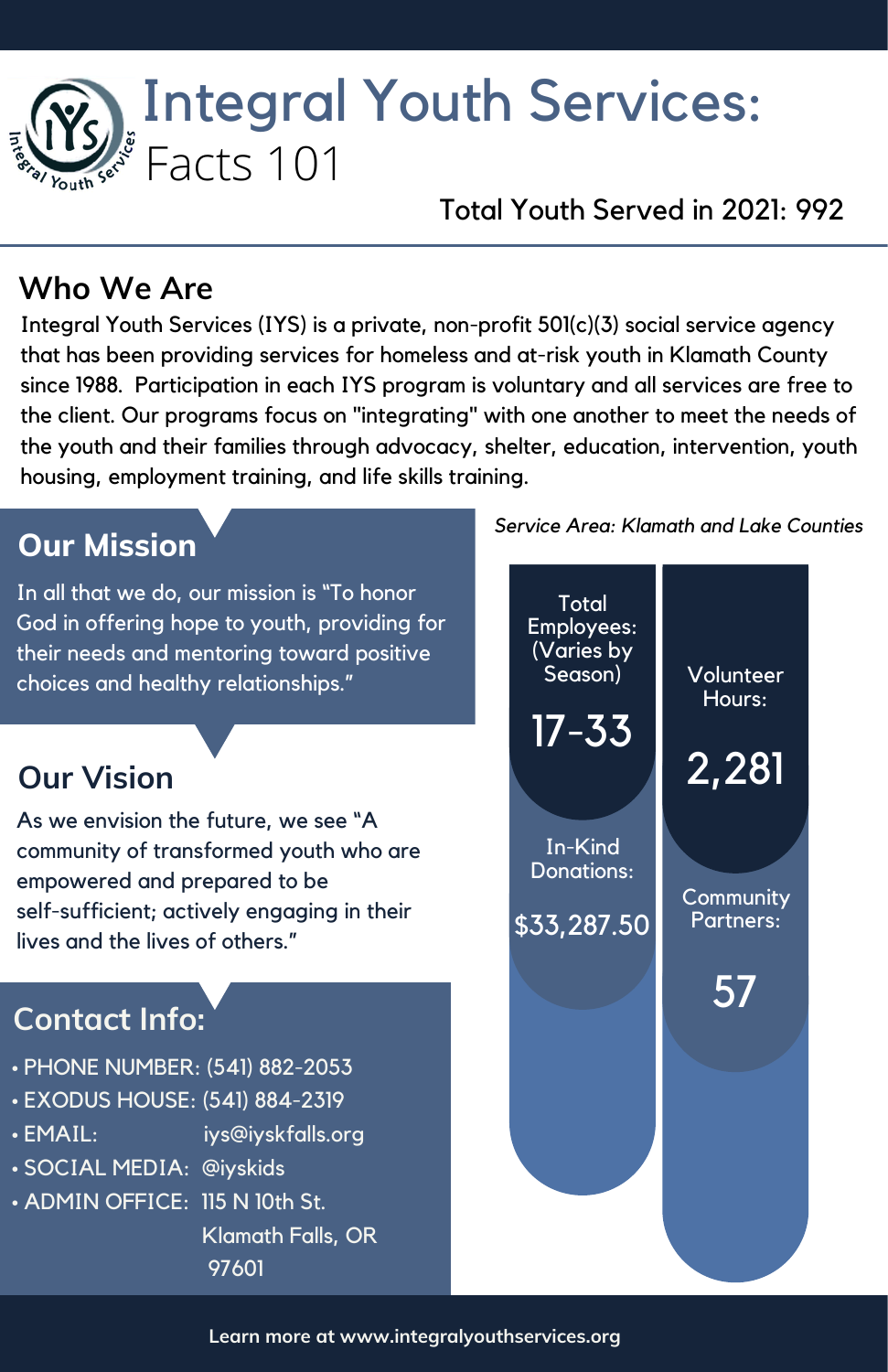# Integral Youth Services: Facts 101

Total Youth Served in 2021: 992

### **Who We Are**

Integral Youth Services (IYS) is a private, non-profit 501(c)(3) social service agency that has been providing services for homeless and at-risk youth in Klamath County since 1988. Participation in each IYS program is voluntary and all services are free to the client. Our programs focus on "integrating" with one another to meet the needs of the youth and their families through advocacy, shelter, education, intervention, youth housing, employment training, and life skills training.

# **Our Mission**

In all that we do, our mission is "To honor God in offering hope to youth, providing for their needs and mentoring toward positive choices and healthy relationships."

# **Our Vision**

As we envision the future, we see "A community of transformed youth who are empowered and prepared to be self-sufficient; actively engaging in their lives and the lives of others."

# **Contact Info:**

- PHONE NUMBER: (541) 882-2053
- EXODUS HOUSE: (541) 884-2319
- EMAIL: iys@iyskfalls.org
- SOCIAL MEDIA: @iyskids
- ADMIN OFFICE: 115 N 10th St.

Klamath Falls, OR 97601

*Service Area: Klamath and Lake Counties*



**Learn more at www.integralyouthservices.org**